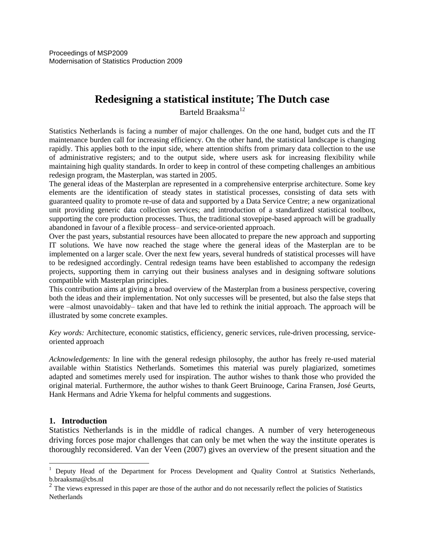# **Redesigning a statistical institute; The Dutch case**

Barteld Braaksma<sup>12</sup>

Statistics Netherlands is facing a number of major challenges. On the one hand, budget cuts and the IT maintenance burden call for increasing efficiency. On the other hand, the statistical landscape is changing rapidly. This applies both to the input side, where attention shifts from primary data collection to the use of administrative registers; and to the output side, where users ask for increasing flexibility while maintaining high quality standards. In order to keep in control of these competing challenges an ambitious redesign program, the Masterplan, was started in 2005.

The general ideas of the Masterplan are represented in a comprehensive enterprise architecture. Some key elements are the identification of steady states in statistical processes, consisting of data sets with guaranteed quality to promote re-use of data and supported by a Data Service Centre; a new organizational unit providing generic data collection services; and introduction of a standardized statistical toolbox, supporting the core production processes. Thus, the traditional stovepipe-based approach will be gradually abandoned in favour of a flexible process– and service-oriented approach.

Over the past years, substantial resources have been allocated to prepare the new approach and supporting IT solutions. We have now reached the stage where the general ideas of the Masterplan are to be implemented on a larger scale. Over the next few years, several hundreds of statistical processes will have to be redesigned accordingly. Central redesign teams have been established to accompany the redesign projects, supporting them in carrying out their business analyses and in designing software solutions compatible with Masterplan principles.

This contribution aims at giving a broad overview of the Masterplan from a business perspective, covering both the ideas and their implementation. Not only successes will be presented, but also the false steps that were –almost unavoidably– taken and that have led to rethink the initial approach. The approach will be illustrated by some concrete examples.

*Key words:* Architecture, economic statistics, efficiency, generic services, rule-driven processing, serviceoriented approach

*Acknowledgements:* In line with the general redesign philosophy, the author has freely re-used material available within Statistics Netherlands. Sometimes this material was purely plagiarized, sometimes adapted and sometimes merely used for inspiration. The author wishes to thank those who provided the original material. Furthermore, the author wishes to thank Geert Bruinooge, Carina Fransen, José Geurts, Hank Hermans and Adrie Ykema for helpful comments and suggestions.

#### **1. Introduction**

 $\overline{a}$ 

Statistics Netherlands is in the middle of radical changes. A number of very heterogeneous driving forces pose major challenges that can only be met when the way the institute operates is thoroughly reconsidered. Van der Veen (2007) gives an overview of the present situation and the

<sup>&</sup>lt;sup>1</sup> Deputy Head of the Department for Process Development and Quality Control at Statistics Netherlands, b.braaksma@cbs.nl

 $2<sup>2</sup>$  The views expressed in this paper are those of the author and do not necessarily reflect the policies of Statistics **Netherlands**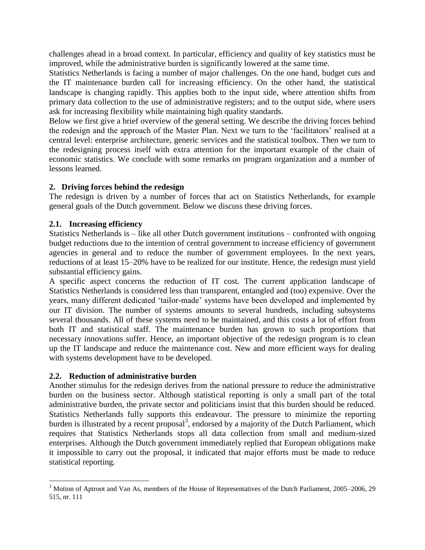challenges ahead in a broad context. In particular, efficiency and quality of key statistics must be improved, while the administrative burden is significantly lowered at the same time.

Statistics Netherlands is facing a number of major challenges. On the one hand, budget cuts and the IT maintenance burden call for increasing efficiency. On the other hand, the statistical landscape is changing rapidly. This applies both to the input side, where attention shifts from primary data collection to the use of administrative registers; and to the output side, where users ask for increasing flexibility while maintaining high quality standards.

Below we first give a brief overview of the general setting. We describe the driving forces behind the redesign and the approach of the Master Plan. Next we turn to the "facilitators" realised at a central level: enterprise architecture, generic services and the statistical toolbox. Then we turn to the redesigning process itself with extra attention for the important example of the chain of economic statistics. We conclude with some remarks on program organization and a number of lessons learned.

# **2. Driving forces behind the redesign**

The redesign is driven by a number of forces that act on Statistics Netherlands, for example general goals of the Dutch government. Below we discuss these driving forces.

# **2.1. Increasing efficiency**

Statistics Netherlands is – like all other Dutch government institutions – confronted with ongoing budget reductions due to the intention of central government to increase efficiency of government agencies in general and to reduce the number of government employees. In the next years, reductions of at least 15–20% have to be realized for our institute. Hence, the redesign must yield substantial efficiency gains.

A specific aspect concerns the reduction of IT cost. The current application landscape of Statistics Netherlands is considered less than transparent, entangled and (too) expensive. Over the years, many different dedicated "tailor-made" systems have been developed and implemented by our IT division. The number of systems amounts to several hundreds, including subsystems several thousands. All of these systems need to be maintained, and this costs a lot of effort from both IT and statistical staff. The maintenance burden has grown to such proportions that necessary innovations suffer. Hence, an important objective of the redesign program is to clean up the IT landscape and reduce the maintenance cost. New and more efficient ways for dealing with systems development have to be developed.

# **2.2. Reduction of administrative burden**

 $\overline{a}$ 

Another stimulus for the redesign derives from the national pressure to reduce the administrative burden on the business sector. Although statistical reporting is only a small part of the total administrative burden, the private sector and politicians insist that this burden should be reduced. Statistics Netherlands fully supports this endeavour. The pressure to minimize the reporting burden is illustrated by a recent proposal<sup>3</sup>, endorsed by a majority of the Dutch Parliament, which requires that Statistics Netherlands stops all data collection from small and medium-sized enterprises. Although the Dutch government immediately replied that European obligations make it impossible to carry out the proposal, it indicated that major efforts must be made to reduce statistical reporting.

<sup>&</sup>lt;sup>3</sup> Motion of Aptroot and Van As, members of the House of Representatives of the Dutch Parliament, 2005–2006, 29 515, nr. 111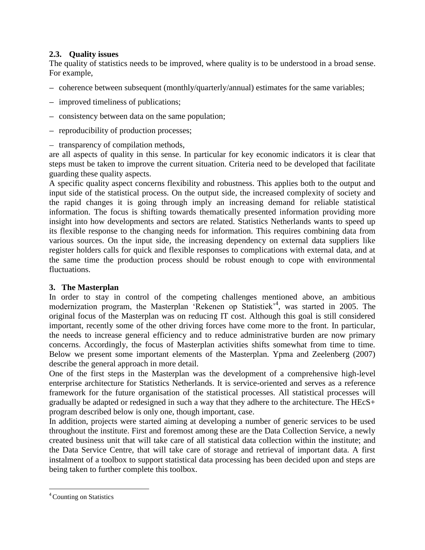# **2.3. Quality issues**

The quality of statistics needs to be improved, where quality is to be understood in a broad sense. For example,

- coherence between subsequent (monthly/quarterly/annual) estimates for the same variables;
- improved timeliness of publications;
- consistency between data on the same population;
- reproducibility of production processes;
- transparency of compilation methods,

are all aspects of quality in this sense. In particular for key economic indicators it is clear that steps must be taken to improve the current situation. Criteria need to be developed that facilitate guarding these quality aspects.

A specific quality aspect concerns flexibility and robustness. This applies both to the output and input side of the statistical process. On the output side, the increased complexity of society and the rapid changes it is going through imply an increasing demand for reliable statistical information. The focus is shifting towards thematically presented information providing more insight into how developments and sectors are related. Statistics Netherlands wants to speed up its flexible response to the changing needs for information. This requires combining data from various sources. On the input side, the increasing dependency on external data suppliers like register holders calls for quick and flexible responses to complications with external data, and at the same time the production process should be robust enough to cope with environmental fluctuations.

# **3. The Masterplan**

In order to stay in control of the competing challenges mentioned above, an ambitious modernization program, the Masterplan 'Rekenen op Statistiek<sup>24</sup>, was started in 2005. The original focus of the Masterplan was on reducing IT cost. Although this goal is still considered important, recently some of the other driving forces have come more to the front. In particular, the needs to increase general efficiency and to reduce administrative burden are now primary concerns. Accordingly, the focus of Masterplan activities shifts somewhat from time to time. Below we present some important elements of the Masterplan. Ypma and Zeelenberg (2007) describe the general approach in more detail.

One of the first steps in the Masterplan was the development of a comprehensive high-level enterprise architecture for Statistics Netherlands. It is service-oriented and serves as a reference framework for the future organisation of the statistical processes. All statistical processes will gradually be adapted or redesigned in such a way that they adhere to the architecture. The HEcS+ program described below is only one, though important, case.

In addition, projects were started aiming at developing a number of generic services to be used throughout the institute. First and foremost among these are the Data Collection Service, a newly created business unit that will take care of all statistical data collection within the institute; and the Data Service Centre, that will take care of storage and retrieval of important data. A first instalment of a toolbox to support statistical data processing has been decided upon and steps are being taken to further complete this toolbox.

 $\overline{a}$ 

<sup>4</sup> Counting on Statistics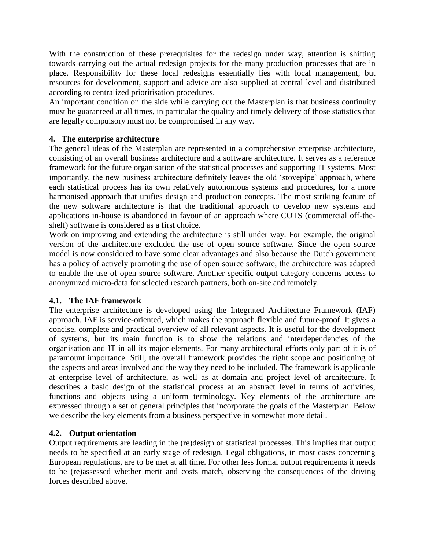With the construction of these prerequisites for the redesign under way, attention is shifting towards carrying out the actual redesign projects for the many production processes that are in place. Responsibility for these local redesigns essentially lies with local management, but resources for development, support and advice are also supplied at central level and distributed according to centralized prioritisation procedures.

An important condition on the side while carrying out the Masterplan is that business continuity must be guaranteed at all times, in particular the quality and timely delivery of those statistics that are legally compulsory must not be compromised in any way.

#### **4. The enterprise architecture**

The general ideas of the Masterplan are represented in a comprehensive enterprise architecture, consisting of an overall business architecture and a software architecture. It serves as a reference framework for the future organisation of the statistical processes and supporting IT systems. Most importantly, the new business architecture definitely leaves the old "stovepipe" approach, where each statistical process has its own relatively autonomous systems and procedures, for a more harmonised approach that unifies design and production concepts. The most striking feature of the new software architecture is that the traditional approach to develop new systems and applications in-house is abandoned in favour of an approach where COTS (commercial off-theshelf) software is considered as a first choice.

Work on improving and extending the architecture is still under way. For example, the original version of the architecture excluded the use of open source software. Since the open source model is now considered to have some clear advantages and also because the Dutch government has a policy of actively promoting the use of open source software, the architecture was adapted to enable the use of open source software. Another specific output category concerns access to anonymized micro-data for selected research partners, both on-site and remotely.

# **4.1. The IAF framework**

The enterprise architecture is developed using the Integrated Architecture Framework (IAF) approach. IAF is service-oriented, which makes the approach flexible and future-proof. It gives a concise, complete and practical overview of all relevant aspects. It is useful for the development of systems, but its main function is to show the relations and interdependencies of the organisation and IT in all its major elements. For many architectural efforts only part of it is of paramount importance. Still, the overall framework provides the right scope and positioning of the aspects and areas involved and the way they need to be included. The framework is applicable at enterprise level of architecture, as well as at domain and project level of architecture. It describes a basic design of the statistical process at an abstract level in terms of activities, functions and objects using a uniform terminology. Key elements of the architecture are expressed through a set of general principles that incorporate the goals of the Masterplan. Below we describe the key elements from a business perspective in somewhat more detail.

# **4.2. Output orientation**

Output requirements are leading in the (re)design of statistical processes. This implies that output needs to be specified at an early stage of redesign. Legal obligations, in most cases concerning European regulations, are to be met at all time. For other less formal output requirements it needs to be (re)assessed whether merit and costs match, observing the consequences of the driving forces described above.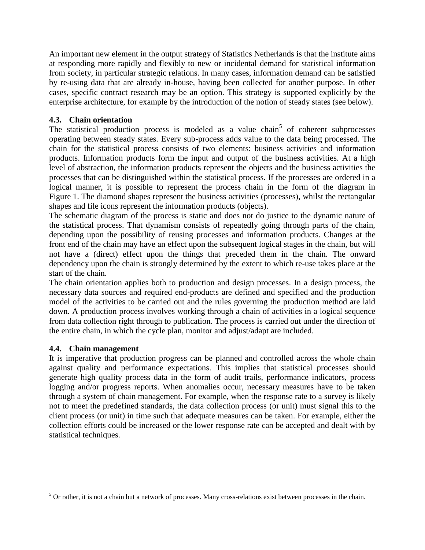An important new element in the output strategy of Statistics Netherlands is that the institute aims at responding more rapidly and flexibly to new or incidental demand for statistical information from society, in particular strategic relations. In many cases, information demand can be satisfied by re-using data that are already in-house, having been collected for another purpose. In other cases, specific contract research may be an option. This strategy is supported explicitly by the enterprise architecture, for example by the introduction of the notion of steady states (see below).

# **4.3. Chain orientation**

The statistical production process is modeled as a value chain<sup>5</sup> of coherent subprocesses operating between steady states. Every sub-process adds value to the data being processed. The chain for the statistical process consists of two elements: business activities and information products. Information products form the input and output of the business activities. At a high level of abstraction, the information products represent the objects and the business activities the processes that can be distinguished within the statistical process. If the processes are ordered in a logical manner, it is possible to represent the process chain in the form of the diagram in Figure 1. The diamond shapes represent the business activities (processes), whilst the rectangular shapes and file icons represent the information products (objects).

The schematic diagram of the process is static and does not do justice to the dynamic nature of the statistical process. That dynamism consists of repeatedly going through parts of the chain, depending upon the possibility of reusing processes and information products. Changes at the front end of the chain may have an effect upon the subsequent logical stages in the chain, but will not have a (direct) effect upon the things that preceded them in the chain. The onward dependency upon the chain is strongly determined by the extent to which re-use takes place at the start of the chain.

The chain orientation applies both to production and design processes. In a design process, the necessary data sources and required end-products are defined and specified and the production model of the activities to be carried out and the rules governing the production method are laid down. A production process involves working through a chain of activities in a logical sequence from data collection right through to publication. The process is carried out under the direction of the entire chain, in which the cycle plan, monitor and adjust/adapt are included.

# **4.4. Chain management**

 $\overline{a}$ 

It is imperative that production progress can be planned and controlled across the whole chain against quality and performance expectations. This implies that statistical processes should generate high quality process data in the form of audit trails, performance indicators, process logging and/or progress reports. When anomalies occur, necessary measures have to be taken through a system of chain management. For example, when the response rate to a survey is likely not to meet the predefined standards, the data collection process (or unit) must signal this to the client process (or unit) in time such that adequate measures can be taken. For example, either the collection efforts could be increased or the lower response rate can be accepted and dealt with by statistical techniques.

 $5$  Or rather, it is not a chain but a network of processes. Many cross-relations exist between processes in the chain.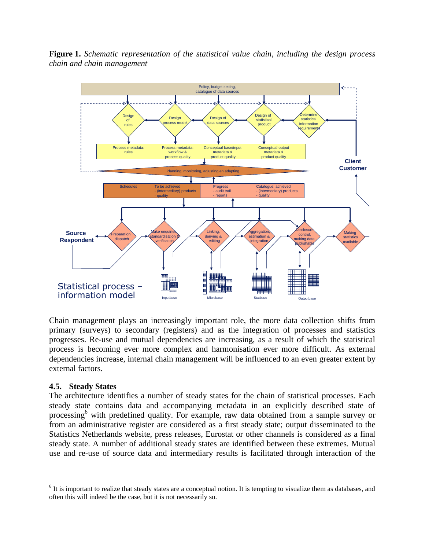

**Figure 1.** *Schematic representation of the statistical value chain, including the design process chain and chain management*

Chain management plays an increasingly important role, the more data collection shifts from primary (surveys) to secondary (registers) and as the integration of processes and statistics progresses. Re-use and mutual dependencies are increasing, as a result of which the statistical process is becoming ever more complex and harmonisation ever more difficult. As external dependencies increase, internal chain management will be influenced to an even greater extent by external factors.

#### **4.5. Steady States**

 $\overline{a}$ 

The architecture identifies a number of steady states for the chain of statistical processes. Each steady state contains data and accompanying metadata in an explicitly described state of processing<sup>6</sup> with predefined quality. For example, raw data obtained from a sample survey or from an administrative register are considered as a first steady state; output disseminated to the Statistics Netherlands website, press releases, Eurostat or other channels is considered as a final steady state. A number of additional steady states are identified between these extremes. Mutual use and re-use of source data and intermediary results is facilitated through interaction of the

 $6$  It is important to realize that steady states are a conceptual notion. It is tempting to visualize them as databases, and often this will indeed be the case, but it is not necessarily so.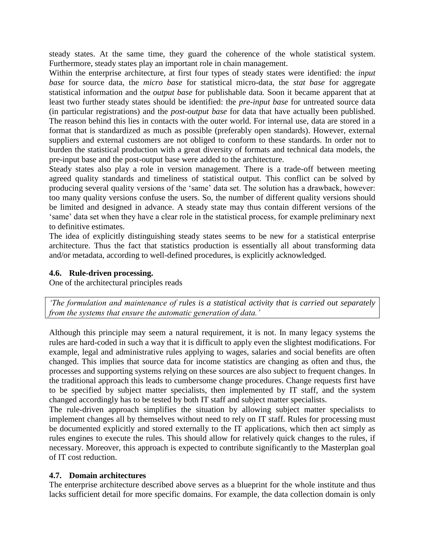steady states. At the same time, they guard the coherence of the whole statistical system. Furthermore, steady states play an important role in chain management.

Within the enterprise architecture, at first four types of steady states were identified: the *input base* for source data, the *micro base* for statistical micro-data, the *stat base* for aggregate statistical information and the *output base* for publishable data*.* Soon it became apparent that at least two further steady states should be identified: the *pre-input base* for untreated source data (in particular registrations) and the *post-output base* for data that have actually been published. The reason behind this lies in contacts with the outer world. For internal use, data are stored in a format that is standardized as much as possible (preferably open standards). However, external suppliers and external customers are not obliged to conform to these standards. In order not to burden the statistical production with a great diversity of formats and technical data models, the pre-input base and the post-output base were added to the architecture.

Steady states also play a role in version management. There is a trade-off between meeting agreed quality standards and timeliness of statistical output. This conflict can be solved by producing several quality versions of the "same" data set. The solution has a drawback, however: too many quality versions confuse the users. So, the number of different quality versions should be limited and designed in advance. A steady state may thus contain different versions of the 'same' data set when they have a clear role in the statistical process, for example preliminary next to definitive estimates.

The idea of explicitly distinguishing steady states seems to be new for a statistical enterprise architecture. Thus the fact that statistics production is essentially all about transforming data and/or metadata, according to well-defined procedures, is explicitly acknowledged.

# **4.6. Rule-driven processing.**

One of the architectural principles reads

*'The formulation and maintenance of rules is a statistical activity that is carried out separately from the systems that ensure the automatic generation of data.'*

Although this principle may seem a natural requirement, it is not. In many legacy systems the rules are hard-coded in such a way that it is difficult to apply even the slightest modifications. For example, legal and administrative rules applying to wages, salaries and social benefits are often changed. This implies that source data for income statistics are changing as often and thus, the processes and supporting systems relying on these sources are also subject to frequent changes. In the traditional approach this leads to cumbersome change procedures. Change requests first have to be specified by subject matter specialists, then implemented by IT staff, and the system changed accordingly has to be tested by both IT staff and subject matter specialists.

The rule-driven approach simplifies the situation by allowing subject matter specialists to implement changes all by themselves without need to rely on IT staff. Rules for processing must be documented explicitly and stored externally to the IT applications, which then act simply as rules engines to execute the rules. This should allow for relatively quick changes to the rules, if necessary. Moreover, this approach is expected to contribute significantly to the Masterplan goal of IT cost reduction.

# **4.7. Domain architectures**

The enterprise architecture described above serves as a blueprint for the whole institute and thus lacks sufficient detail for more specific domains. For example, the data collection domain is only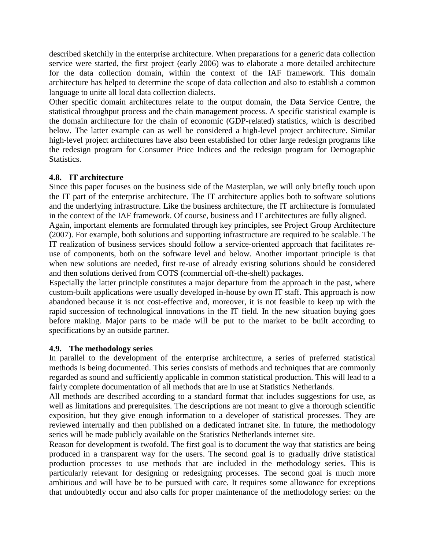described sketchily in the enterprise architecture. When preparations for a generic data collection service were started, the first project (early 2006) was to elaborate a more detailed architecture for the data collection domain, within the context of the IAF framework. This domain architecture has helped to determine the scope of data collection and also to establish a common language to unite all local data collection dialects.

Other specific domain architectures relate to the output domain, the Data Service Centre, the statistical throughput process and the chain management process. A specific statistical example is the domain architecture for the chain of economic (GDP-related) statistics, which is described below. The latter example can as well be considered a high-level project architecture. Similar high-level project architectures have also been established for other large redesign programs like the redesign program for Consumer Price Indices and the redesign program for Demographic Statistics.

#### **4.8. IT architecture**

Since this paper focuses on the business side of the Masterplan, we will only briefly touch upon the IT part of the enterprise architecture. The IT architecture applies both to software solutions and the underlying infrastructure. Like the business architecture, the IT architecture is formulated in the context of the IAF framework. Of course, business and IT architectures are fully aligned.

Again, important elements are formulated through key principles, see Project Group Architecture (2007). For example, both solutions and supporting infrastructure are required to be scalable. The IT realization of business services should follow a service-oriented approach that facilitates reuse of components, both on the software level and below. Another important principle is that when new solutions are needed, first re-use of already existing solutions should be considered and then solutions derived from COTS (commercial off-the-shelf) packages.

Especially the latter principle constitutes a major departure from the approach in the past, where custom-built applications were usually developed in-house by own IT staff. This approach is now abandoned because it is not cost-effective and, moreover, it is not feasible to keep up with the rapid succession of technological innovations in the IT field. In the new situation buying goes before making. Major parts to be made will be put to the market to be built according to specifications by an outside partner.

#### **4.9. The methodology series**

In parallel to the development of the enterprise architecture, a series of preferred statistical methods is being documented. This series consists of methods and techniques that are commonly regarded as sound and sufficiently applicable in common statistical production. This will lead to a fairly complete documentation of all methods that are in use at Statistics Netherlands.

All methods are described according to a standard format that includes suggestions for use, as well as limitations and prerequisites. The descriptions are not meant to give a thorough scientific exposition, but they give enough information to a developer of statistical processes. They are reviewed internally and then published on a dedicated intranet site. In future, the methodology series will be made publicly available on the Statistics Netherlands internet site.

Reason for development is twofold. The first goal is to document the way that statistics are being produced in a transparent way for the users. The second goal is to gradually drive statistical production processes to use methods that are included in the methodology series. This is particularly relevant for designing or redesigning processes. The second goal is much more ambitious and will have be to be pursued with care. It requires some allowance for exceptions that undoubtedly occur and also calls for proper maintenance of the methodology series: on the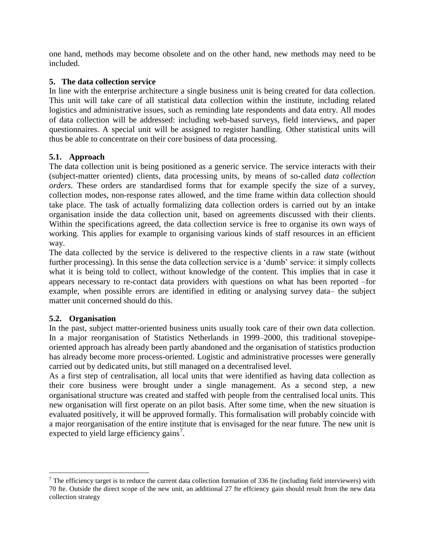one hand, methods may become obsolete and on the other hand, new methods may need to be included.

#### **5. The data collection service**

In line with the enterprise architecture a single business unit is being created for data collection. This unit will take care of all statistical data collection within the institute, including related logistics and administrative issues, such as reminding late respondents and data entry. All modes of data collection will be addressed: including web-based surveys, field interviews, and paper questionnaires. A special unit will be assigned to register handling. Other statistical units will thus be able to concentrate on their core business of data processing.

#### **5.1. Approach**

The data collection unit is being positioned as a generic service. The service interacts with their (subject-matter oriented) clients, data processing units, by means of so-called *data collection orders*. These orders are standardised forms that for example specify the size of a survey, collection modes, non-response rates allowed, and the time frame within data collection should take place. The task of actually formalizing data collection orders is carried out by an intake organisation inside the data collection unit, based on agreements discussed with their clients. Within the specifications agreed, the data collection service is free to organise its own ways of working. This applies for example to organising various kinds of staff resources in an efficient way.

The data collected by the service is delivered to the respective clients in a raw state (without further processing). In this sense the data collection service is a 'dumb' service: it simply collects what it is being told to collect, without knowledge of the content. This implies that in case it appears necessary to re-contact data providers with questions on what has been reported –for example, when possible errors are identified in editing or analysing survey data– the subject matter unit concerned should do this.

# **5.2. Organisation**

 $\overline{a}$ 

In the past, subject matter-oriented business units usually took care of their own data collection. In a major reorganisation of Statistics Netherlands in 1999–2000, this traditional stovepipeoriented approach has already been partly abandoned and the organisation of statistics production has already become more process-oriented. Logistic and administrative processes were generally carried out by dedicated units, but still managed on a decentralised level.

As a first step of centralisation, all local units that were identified as having data collection as their core business were brought under a single management. As a second step, a new organisational structure was created and staffed with people from the centralised local units. This new organisation will first operate on an pilot basis. After some time, when the new situation is evaluated positively, it will be approved formally. This formalisation will probably coincide with a major reorganisation of the entire institute that is envisaged for the near future. The new unit is expected to yield large efficiency gains<sup>7</sup>.

 $<sup>7</sup>$  The efficiency target is to reduce the current data collection formation of 336 fte (including field interviewers) with</sup> 70 fte. Outside the direct scope of the new unit, an additional 27 fte effciency gain should result from the new data collection strategy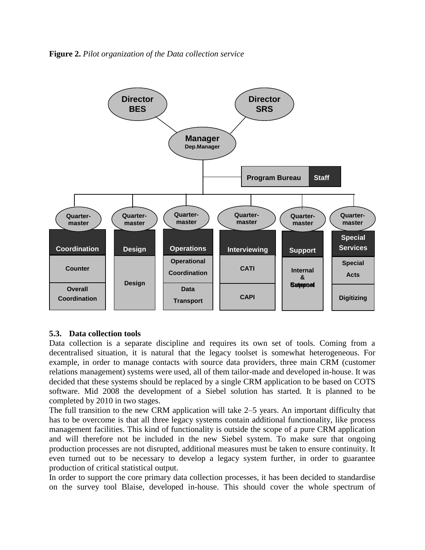**Figure 2.** *Pilot organization of the Data collection service*



#### **5.3. Data collection tools**

Data collection is a separate discipline and requires its own set of tools. Coming from a decentralised situation, it is natural that the legacy toolset is somewhat heterogeneous. For example, in order to manage contacts with source data providers, three main CRM (customer relations management) systems were used, all of them tailor-made and developed in-house. It was decided that these systems should be replaced by a single CRM application to be based on COTS software. Mid 2008 the development of a Siebel solution has started. It is planned to be completed by 2010 in two stages.

The full transition to the new CRM application will take 2–5 years. An important difficulty that has to be overcome is that all three legacy systems contain additional functionality, like process management facilities. This kind of functionality is outside the scope of a pure CRM application and will therefore not be included in the new Siebel system. To make sure that ongoing production processes are not disrupted, additional measures must be taken to ensure continuity. It even turned out to be necessary to develop a legacy system further, in order to guarantee production of critical statistical output.

In order to support the core primary data collection processes, it has been decided to standardise on the survey tool Blaise, developed in-house. This should cover the whole spectrum of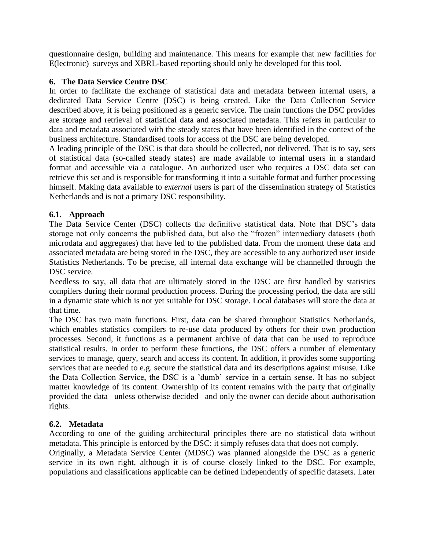questionnaire design, building and maintenance. This means for example that new facilities for E(lectronic)–surveys and XBRL-based reporting should only be developed for this tool.

# **6. The Data Service Centre DSC**

In order to facilitate the exchange of statistical data and metadata between internal users, a dedicated Data Service Centre (DSC) is being created. Like the Data Collection Service described above, it is being positioned as a generic service. The main functions the DSC provides are storage and retrieval of statistical data and associated metadata. This refers in particular to data and metadata associated with the steady states that have been identified in the context of the business architecture. Standardised tools for access of the DSC are being developed.

A leading principle of the DSC is that data should be collected, not delivered. That is to say, sets of statistical data (so-called steady states) are made available to internal users in a standard format and accessible via a catalogue. An authorized user who requires a DSC data set can retrieve this set and is responsible for transforming it into a suitable format and further processing himself. Making data available to *external* users is part of the dissemination strategy of Statistics Netherlands and is not a primary DSC responsibility.

#### **6.1. Approach**

The Data Service Center (DSC) collects the definitive statistical data. Note that DSC"s data storage not only concerns the published data, but also the "frozen" intermediary datasets (both microdata and aggregates) that have led to the published data. From the moment these data and associated metadata are being stored in the DSC, they are accessible to any authorized user inside Statistics Netherlands. To be precise, all internal data exchange will be channelled through the DSC service.

Needless to say, all data that are ultimately stored in the DSC are first handled by statistics compilers during their normal production process. During the processing period, the data are still in a dynamic state which is not yet suitable for DSC storage. Local databases will store the data at that time.

The DSC has two main functions. First, data can be shared throughout Statistics Netherlands, which enables statistics compilers to re-use data produced by others for their own production processes. Second, it functions as a permanent archive of data that can be used to reproduce statistical results. In order to perform these functions, the DSC offers a number of elementary services to manage, query, search and access its content. In addition, it provides some supporting services that are needed to e.g. secure the statistical data and its descriptions against misuse. Like the Data Collection Service, the DSC is a "dumb" service in a certain sense. It has no subject matter knowledge of its content. Ownership of its content remains with the party that originally provided the data –unless otherwise decided– and only the owner can decide about authorisation rights.

# **6.2. Metadata**

According to one of the guiding architectural principles there are no statistical data without metadata. This principle is enforced by the DSC: it simply refuses data that does not comply.

Originally, a Metadata Service Center (MDSC) was planned alongside the DSC as a generic service in its own right, although it is of course closely linked to the DSC. For example, populations and classifications applicable can be defined independently of specific datasets. Later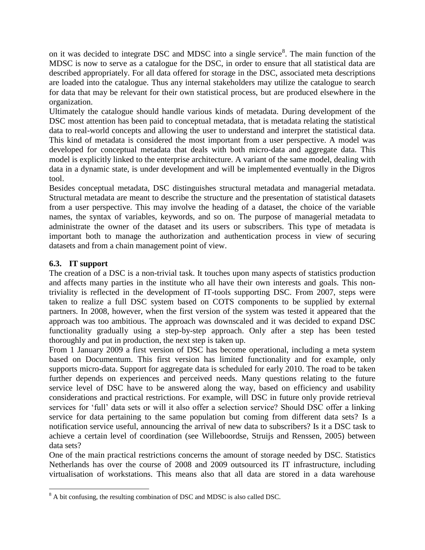on it was decided to integrate DSC and MDSC into a single service<sup>8</sup>. The main function of the MDSC is now to serve as a catalogue for the DSC, in order to ensure that all statistical data are described appropriately. For all data offered for storage in the DSC, associated meta descriptions are loaded into the catalogue. Thus any internal stakeholders may utilize the catalogue to search for data that may be relevant for their own statistical process, but are produced elsewhere in the organization.

Ultimately the catalogue should handle various kinds of metadata. During development of the DSC most attention has been paid to conceptual metadata, that is metadata relating the statistical data to real-world concepts and allowing the user to understand and interpret the statistical data. This kind of metadata is considered the most important from a user perspective. A model was developed for conceptual metadata that deals with both micro-data and aggregate data. This model is explicitly linked to the enterprise architecture. A variant of the same model, dealing with data in a dynamic state, is under development and will be implemented eventually in the Digros tool.

Besides conceptual metadata, DSC distinguishes structural metadata and managerial metadata. Structural metadata are meant to describe the structure and the presentation of statistical datasets from a user perspective. This may involve the heading of a dataset, the choice of the variable names, the syntax of variables, keywords, and so on. The purpose of managerial metadata to administrate the owner of the dataset and its users or subscribers. This type of metadata is important both to manage the authorization and authentication process in view of securing datasets and from a chain management point of view.

# **6.3. IT support**

The creation of a DSC is a non-trivial task. It touches upon many aspects of statistics production and affects many parties in the institute who all have their own interests and goals. This nontriviality is reflected in the development of IT-tools supporting DSC. From 2007, steps were taken to realize a full DSC system based on COTS components to be supplied by external partners. In 2008, however, when the first version of the system was tested it appeared that the approach was too ambitious. The approach was downscaled and it was decided to expand DSC functionality gradually using a step-by-step approach. Only after a step has been tested thoroughly and put in production, the next step is taken up.

From 1 January 2009 a first version of DSC has become operational, including a meta system based on Documentum. This first version has limited functionality and for example, only supports micro-data. Support for aggregate data is scheduled for early 2010. The road to be taken further depends on experiences and perceived needs. Many questions relating to the future service level of DSC have to be answered along the way, based on efficiency and usability considerations and practical restrictions. For example, will DSC in future only provide retrieval services for 'full' data sets or will it also offer a selection service? Should DSC offer a linking service for data pertaining to the same population but coming from different data sets? Is a notification service useful, announcing the arrival of new data to subscribers? Is it a DSC task to achieve a certain level of coordination (see Willeboordse, Struijs and Renssen, 2005) between data sets?

One of the main practical restrictions concerns the amount of storage needed by DSC. Statistics Netherlands has over the course of 2008 and 2009 outsourced its IT infrastructure, including virtualisation of workstations. This means also that all data are stored in a data warehouse

 $\overline{a}$ <sup>8</sup> A bit confusing, the resulting combination of DSC and MDSC is also called DSC.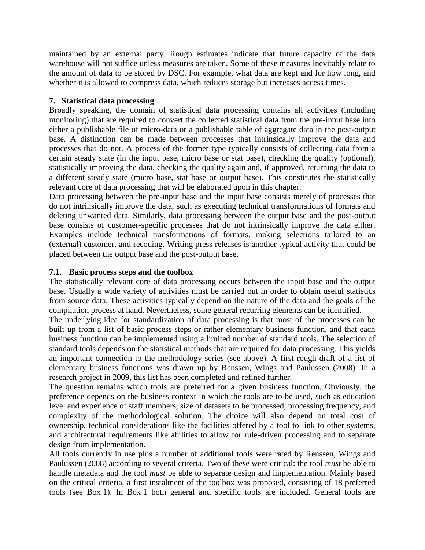maintained by an external party. Rough estimates indicate that future capacity of the data warehouse will not suffice unless measures are taken. Some of these measures inevitably relate to the amount of data to be stored by DSC. For example, what data are kept and for how long, and whether it is allowed to compress data, which reduces storage but increases access times.

# **7. Statistical data processing**

Broadly speaking, the domain of statistical data processing contains all activities (including monitoring) that are required to convert the collected statistical data from the pre-input base into either a publishable file of micro-data or a publishable table of aggregate data in the post-output base. A distinction can be made between processes that intrinsically improve the data and processes that do not. A process of the former type typically consists of collecting data from a certain steady state (in the input base, micro base or stat base), checking the quality (optional), statistically improving the data, checking the quality again and, if approved, returning the data to a different steady state (micro base, stat base or output base). This constitutes the statistically relevant core of data processing that will be elaborated upon in this chapter.

Data processing between the pre-input base and the input base consists merely of processes that do not intrinsically improve the data, such as executing technical transformations of formats and deleting unwanted data. Similarly, data processing between the output base and the post-output base consists of customer-specific processes that do not intrinsically improve the data either. Examples include technical transformations of formats, making selections tailored to an (external) customer, and recoding. Writing press releases is another typical activity that could be placed between the output base and the post-output base.

# **7.1. Basic process steps and the toolbox**

The statistically relevant core of data processing occurs between the input base and the output base. Usually a wide variety of activities must be carried out in order to obtain useful statistics from source data. These activities typically depend on the nature of the data and the goals of the compilation process at hand. Nevertheless, some general recurring elements can be identified.

The underlying idea for standardization of data processing is that most of the processes can be built up from a list of basic process steps or rather elementary business function, and that each business function can be implemented using a limited number of standard tools. The selection of standard tools depends on the statistical methods that are required for data processing. This yields an important connection to the methodology series (see above). A first rough draft of a list of elementary business functions was drawn up by Renssen, Wings and Paulussen (2008). In a research project in 2009, this list has been completed and refined further.

The question remains which tools are preferred for a given business function. Obviously, the preference depends on the business context in which the tools are to be used, such as education level and experience of staff members, size of datasets to be processed, processing frequency, and complexity of the methodological solution. The choice will also depend on total cost of ownership, technical considerations like the facilities offered by a tool to link to other systems, and architectural requirements like abilities to allow for rule-driven processing and to separate design from implementation.

All tools currently in use plus a number of additional tools were rated by Renssen, Wings and Paulussen (2008) according to several criteria. Two of these were critical: the tool *must* be able to handle metadata and the tool *must* be able to separate design and implementation. Mainly based on the critical criteria, a first instalment of the toolbox was proposed, consisting of 18 preferred tools (see Box 1). In Box 1 both general and specific tools are included. General tools are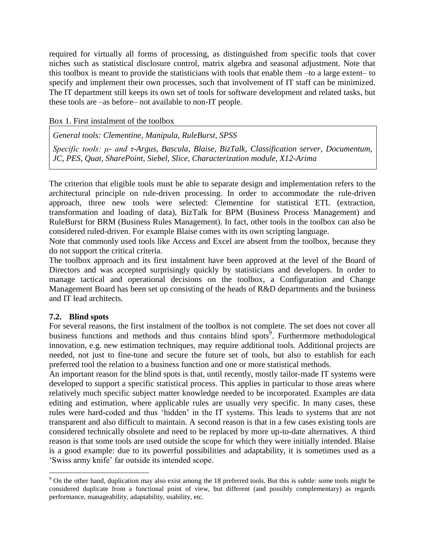required for virtually all forms of processing, as distinguished from specific tools that cover niches such as statistical disclosure control, matrix algebra and seasonal adjustment. Note that this toolbox is meant to provide the statisticians with tools that enable them –to a large extent– to specify and implement their own processes, such that involvement of IT staff can be minimized. The IT department still keeps its own set of tools for software development and related tasks, but these tools are –as before– not available to non-IT people.

Box 1. First instalment of the toolbox

*General tools: Clementine, Manipula, RuleBurst, SPSS*

*Specific tools: μ- and τ-Argus, Bascula, Blaise, BizTalk, Classification server, Documentum, JC, PES, Quat, SharePoint, Siebel, Slice, Characterization module, X12-Arima* 

The criterion that eligible tools must be able to separate design and implementation refers to the architectural principle on rule-driven processing. In order to accommodate the rule-driven approach, three new tools were selected: Clementine for statistical ETL (extraction, transformation and loading of data), BizTalk for BPM (Business Process Management) and RuleBurst for BRM (Business Rules Management). In fact, other tools in the toolbox can also be considered ruled-driven. For example Blaise comes with its own scripting language.

Note that commonly used tools like Access and Excel are absent from the toolbox, because they do not support the critical criteria.

The toolbox approach and its first instalment have been approved at the level of the Board of Directors and was accepted surprisingly quickly by statisticians and developers. In order to manage tactical and operational decisions on the toolbox, a Configuration and Change Management Board has been set up consisting of the heads of R&D departments and the business and IT lead architects.

# **7.2. Blind spots**

 $\overline{a}$ 

For several reasons, the first instalment of the toolbox is not complete. The set does not cover all business functions and methods and thus contains blind spots<sup>9</sup>. Furthermore methodological innovation, e.g. new estimation techniques, may require additional tools. Additional projects are needed, not just to fine-tune and secure the future set of tools, but also to establish for each preferred tool the relation to a business function and one or more statistical methods.

An important reason for the blind spots is that, until recently, mostly tailor-made IT systems were developed to support a specific statistical process. This applies in particular to those areas where relatively much specific subject matter knowledge needed to be incorporated. Examples are data editing and estimation, where applicable rules are usually very specific. In many cases, these rules were hard-coded and thus "hidden" in the IT systems. This leads to systems that are not transparent and also difficult to maintain. A second reason is that in a few cases existing tools are considered technically obsolete and need to be replaced by more up-to-date alternatives. A third reason is that some tools are used outside the scope for which they were initially intended. Blaise is a good example: due to its powerful possibilities and adaptability, it is sometimes used as a "Swiss army knife" far outside its intended scope.

<sup>&</sup>lt;sup>9</sup> On the other hand, duplication may also exist among the 18 preferred tools. But this is subtle: some tools might be considered duplicate from a functional point of view, but different (and possibly complementary) as regards performance, manageability, adaptability, usability, etc.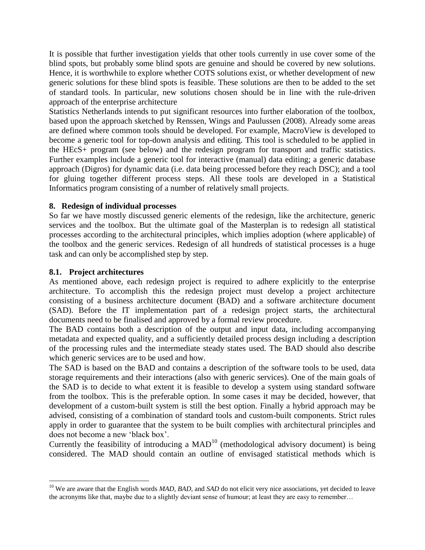It is possible that further investigation yields that other tools currently in use cover some of the blind spots, but probably some blind spots are genuine and should be covered by new solutions. Hence, it is worthwhile to explore whether COTS solutions exist, or whether development of new generic solutions for these blind spots is feasible. These solutions are then to be added to the set of standard tools. In particular, new solutions chosen should be in line with the rule-driven approach of the enterprise architecture

Statistics Netherlands intends to put significant resources into further elaboration of the toolbox, based upon the approach sketched by Renssen, Wings and Paulussen (2008). Already some areas are defined where common tools should be developed. For example, MacroView is developed to become a generic tool for top-down analysis and editing. This tool is scheduled to be applied in the HEcS+ program (see below) and the redesign program for transport and traffic statistics. Further examples include a generic tool for interactive (manual) data editing; a generic database approach (Digros) for dynamic data (i.e. data being processed before they reach DSC); and a tool for gluing together different process steps. All these tools are developed in a Statistical Informatics program consisting of a number of relatively small projects.

#### **8. Redesign of individual processes**

So far we have mostly discussed generic elements of the redesign, like the architecture, generic services and the toolbox. But the ultimate goal of the Masterplan is to redesign all statistical processes according to the architectural principles, which implies adoption (where applicable) of the toolbox and the generic services. Redesign of all hundreds of statistical processes is a huge task and can only be accomplished step by step.

#### **8.1. Project architectures**

 $\overline{a}$ 

As mentioned above, each redesign project is required to adhere explicitly to the enterprise architecture. To accomplish this the redesign project must develop a project architecture consisting of a business architecture document (BAD) and a software architecture document (SAD). Before the IT implementation part of a redesign project starts, the architectural documents need to be finalised and approved by a formal review procedure.

The BAD contains both a description of the output and input data, including accompanying metadata and expected quality, and a sufficiently detailed process design including a description of the processing rules and the intermediate steady states used. The BAD should also describe which generic services are to be used and how.

The SAD is based on the BAD and contains a description of the software tools to be used, data storage requirements and their interactions (also with generic services). One of the main goals of the SAD is to decide to what extent it is feasible to develop a system using standard software from the toolbox. This is the preferable option. In some cases it may be decided, however, that development of a custom-built system is still the best option. Finally a hybrid approach may be advised, consisting of a combination of standard tools and custom-built components. Strict rules apply in order to guarantee that the system to be built complies with architectural principles and does not become a new "black box".

Currently the feasibility of introducing a  $MAD^{10}$  (methodological advisory document) is being considered. The MAD should contain an outline of envisaged statistical methods which is

<sup>&</sup>lt;sup>10</sup> We are aware that the English words *MAD*, *BAD*, and *SAD* do not elicit very nice associations, yet decided to leave the acronyms like that, maybe due to a slightly deviant sense of humour; at least they are easy to remember…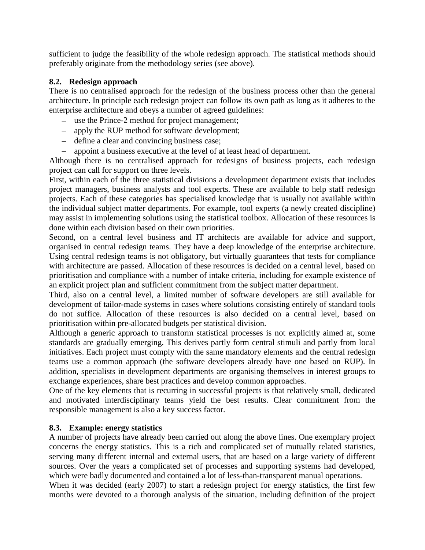sufficient to judge the feasibility of the whole redesign approach. The statistical methods should preferably originate from the methodology series (see above).

# **8.2. Redesign approach**

There is no centralised approach for the redesign of the business process other than the general architecture. In principle each redesign project can follow its own path as long as it adheres to the enterprise architecture and obeys a number of agreed guidelines:

- use the Prince-2 method for project management;
- apply the RUP method for software development;
- define a clear and convincing business case;
- appoint a business executive at the level of at least head of department.  $\equiv$

Although there is no centralised approach for redesigns of business projects, each redesign project can call for support on three levels.

First, within each of the three statistical divisions a development department exists that includes project managers, business analysts and tool experts. These are available to help staff redesign projects. Each of these categories has specialised knowledge that is usually not available within the individual subject matter departments. For example, tool experts (a newly created discipline) may assist in implementing solutions using the statistical toolbox. Allocation of these resources is done within each division based on their own priorities.

Second, on a central level business and IT architects are available for advice and support, organised in central redesign teams. They have a deep knowledge of the enterprise architecture. Using central redesign teams is not obligatory, but virtually guarantees that tests for compliance with architecture are passed. Allocation of these resources is decided on a central level, based on prioritisation and compliance with a number of intake criteria, including for example existence of an explicit project plan and sufficient commitment from the subject matter department.

Third, also on a central level, a limited number of software developers are still available for development of tailor-made systems in cases where solutions consisting entirely of standard tools do not suffice. Allocation of these resources is also decided on a central level, based on prioritisation within pre-allocated budgets per statistical division.

Although a generic approach to transform statistical processes is not explicitly aimed at, some standards are gradually emerging. This derives partly form central stimuli and partly from local initiatives. Each project must comply with the same mandatory elements and the central redesign teams use a common approach (the software developers already have one based on RUP). In addition, specialists in development departments are organising themselves in interest groups to exchange experiences, share best practices and develop common approaches.

One of the key elements that is recurring in successful projects is that relatively small, dedicated and motivated interdisciplinary teams yield the best results. Clear commitment from the responsible management is also a key success factor.

# **8.3. Example: energy statistics**

A number of projects have already been carried out along the above lines. One exemplary project concerns the energy statistics. This is a rich and complicated set of mutually related statistics, serving many different internal and external users, that are based on a large variety of different sources. Over the years a complicated set of processes and supporting systems had developed, which were badly documented and contained a lot of less-than-transparent manual operations.

When it was decided (early 2007) to start a redesign project for energy statistics, the first few months were devoted to a thorough analysis of the situation, including definition of the project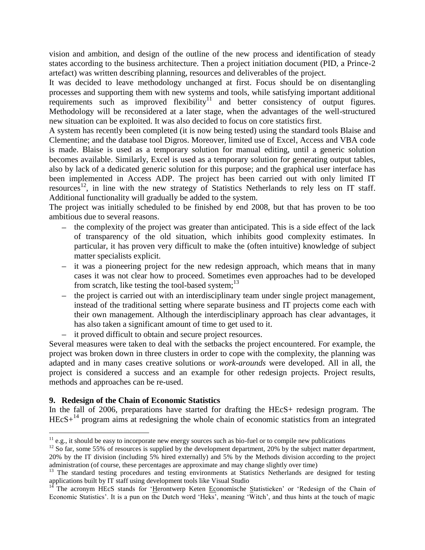vision and ambition, and design of the outline of the new process and identification of steady states according to the business architecture. Then a project initiation document (PID, a Prince-2 artefact) was written describing planning, resources and deliverables of the project.

It was decided to leave methodology unchanged at first. Focus should be on disentangling processes and supporting them with new systems and tools, while satisfying important additional requirements such as improved flexibility<sup>11</sup> and better consistency of output figures. Methodology will be reconsidered at a later stage, when the advantages of the well-structured new situation can be exploited. It was also decided to focus on core statistics first.

A system has recently been completed (it is now being tested) using the standard tools Blaise and Clementine; and the database tool Digros. Moreover, limited use of Excel, Access and VBA code is made. Blaise is used as a temporary solution for manual editing, until a generic solution becomes available. Similarly, Excel is used as a temporary solution for generating output tables, also by lack of a dedicated generic solution for this purpose; and the graphical user interface has been implemented in Access ADP. The project has been carried out with only limited IT resources<sup>12</sup>, in line with the new strategy of Statistics Netherlands to rely less on IT staff. Additional functionality will gradually be added to the system.

The project was initially scheduled to be finished by end 2008, but that has proven to be too ambitious due to several reasons.

- $\theta$  the complexity of the project was greater than anticipated. This is a side effect of the lack of transparency of the old situation, which inhibits good complexity estimates. In particular, it has proven very difficult to make the (often intuitive) knowledge of subject matter specialists explicit.
- $\overline{a}$  it was a pioneering project for the new redesign approach, which means that in many cases it was not clear how to proceed. Sometimes even approaches had to be developed from scratch, like testing the tool-based system; $^{13}$
- the project is carried out with an interdisciplinary team under single project management, instead of the traditional setting where separate business and IT projects come each with their own management. Although the interdisciplinary approach has clear advantages, it has also taken a significant amount of time to get used to it.
- it proved difficult to obtain and secure project resources.

Several measures were taken to deal with the setbacks the project encountered. For example, the project was broken down in three clusters in order to cope with the complexity, the planning was adapted and in many cases creative solutions or *work-arounds* were developed. All in all, the project is considered a success and an example for other redesign projects. Project results, methods and approaches can be re-used.

# **9. Redesign of the Chain of Economic Statistics**

 $\overline{a}$ 

In the fall of 2006, preparations have started for drafting the HEcS+ redesign program. The  $HEcS+<sup>14</sup>$  program aims at redesigning the whole chain of economic statistics from an integrated

 $11$  e.g., it should be easy to incorporate new energy sources such as bio-fuel or to compile new publications

 $12$  So far, some 55% of resources is supplied by the development department, 20% by the subject matter department, 20% by the IT division (including 5% hired externally) and 5% by the Methods division according to the project administration (of course, these percentages are approximate and may change slightly over time)

<sup>&</sup>lt;sup>13</sup> The standard testing procedures and testing environments at Statistics Netherlands are designed for testing applications built by IT staff using development tools like Visual Studio

The acronym HEcS stands for 'Herontwerp Keten Economische Statistieken' or 'Redesign of the Chain of Economic Statistics". It is a pun on the Dutch word "Heks", meaning "Witch", and thus hints at the touch of magic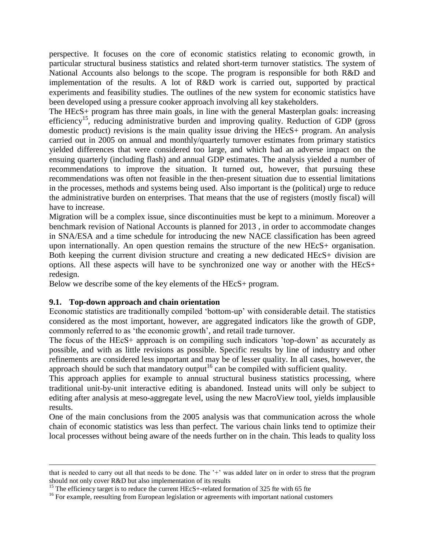perspective. It focuses on the core of economic statistics relating to economic growth, in particular structural business statistics and related short-term turnover statistics. The system of National Accounts also belongs to the scope. The program is responsible for both R&D and implementation of the results. A lot of R&D work is carried out, supported by practical experiments and feasibility studies. The outlines of the new system for economic statistics have been developed using a pressure cooker approach involving all key stakeholders.

The HEcS+ program has three main goals, in line with the general Masterplan goals: increasing efficiency<sup>15</sup>, reducing administrative burden and improving quality. Reduction of GDP (gross domestic product) revisions is the main quality issue driving the HEcS+ program. An analysis carried out in 2005 on annual and monthly/quarterly turnover estimates from primary statistics yielded differences that were considered too large, and which had an adverse impact on the ensuing quarterly (including flash) and annual GDP estimates. The analysis yielded a number of recommendations to improve the situation. It turned out, however, that pursuing these recommendations was often not feasible in the then-present situation due to essential limitations in the processes, methods and systems being used. Also important is the (political) urge to reduce the administrative burden on enterprises. That means that the use of registers (mostly fiscal) will have to increase.

Migration will be a complex issue, since discontinuities must be kept to a minimum. Moreover a benchmark revision of National Accounts is planned for 2013 , in order to accommodate changes in SNA/ESA and a time schedule for introducing the new NACE classification has been agreed upon internationally. An open question remains the structure of the new HEcS+ organisation. Both keeping the current division structure and creating a new dedicated HEcS+ division are options. All these aspects will have to be synchronized one way or another with the HEcS+ redesign.

Below we describe some of the key elements of the HEcS+ program.

#### **9.1. Top-down approach and chain orientation**

 $\overline{a}$ 

Economic statistics are traditionally compiled "bottom-up" with considerable detail. The statistics considered as the most important, however, are aggregated indicators like the growth of GDP, commonly referred to as 'the economic growth', and retail trade turnover.

The focus of the HEcS+ approach is on compiling such indicators "top-down" as accurately as possible, and with as little revisions as possible. Specific results by line of industry and other refinements are considered less important and may be of lesser quality. In all cases, however, the approach should be such that mandatory output<sup>16</sup> can be compiled with sufficient quality.

This approach applies for example to annual structural business statistics processing, where traditional unit-by-unit interactive editing is abandoned. Instead units will only be subject to editing after analysis at meso-aggregate level, using the new MacroView tool, yields implausible results.

One of the main conclusions from the 2005 analysis was that communication across the whole chain of economic statistics was less than perfect. The various chain links tend to optimize their local processes without being aware of the needs further on in the chain. This leads to quality loss

that is needed to carry out all that needs to be done. The '+' was added later on in order to stress that the program should not only cover R&D but also implementation of its results

<sup>&</sup>lt;sup>15</sup> The efficiency target is to reduce the current HEcS+-related formation of 325 fte with 65 fte

<sup>&</sup>lt;sup>16</sup> For example, reesulting from European legislation or agreements with important national customers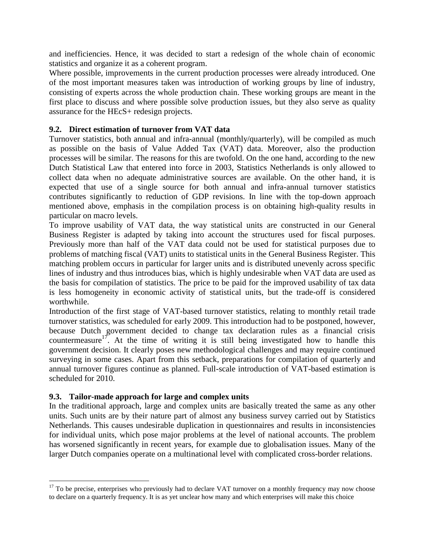and inefficiencies. Hence, it was decided to start a redesign of the whole chain of economic statistics and organize it as a coherent program.

Where possible, improvements in the current production processes were already introduced. One of the most important measures taken was introduction of working groups by line of industry, consisting of experts across the whole production chain. These working groups are meant in the first place to discuss and where possible solve production issues, but they also serve as quality assurance for the HEcS+ redesign projects.

#### **9.2. Direct estimation of turnover from VAT data**

Turnover statistics, both annual and infra-annual (monthly/quarterly), will be compiled as much as possible on the basis of Value Added Tax (VAT) data. Moreover, also the production processes will be similar. The reasons for this are twofold. On the one hand, according to the new Dutch Statistical Law that entered into force in 2003, Statistics Netherlands is only allowed to collect data when no adequate administrative sources are available. On the other hand, it is expected that use of a single source for both annual and infra-annual turnover statistics contributes significantly to reduction of GDP revisions. In line with the top-down approach mentioned above, emphasis in the compilation process is on obtaining high-quality results in particular on macro levels.

To improve usability of VAT data, the way statistical units are constructed in our General Business Register is adapted by taking into account the structures used for fiscal purposes. Previously more than half of the VAT data could not be used for statistical purposes due to problems of matching fiscal (VAT) units to statistical units in the General Business Register. This matching problem occurs in particular for larger units and is distributed unevenly across specific lines of industry and thus introduces bias, which is highly undesirable when VAT data are used as the basis for compilation of statistics. The price to be paid for the improved usability of tax data is less homogeneity in economic activity of statistical units, but the trade-off is considered worthwhile.

Introduction of the first stage of VAT-based turnover statistics, relating to monthly retail trade turnover statistics, was scheduled for early 2009. This introduction had to be postponed, however, because Dutch government decided to change tax declaration rules as a financial crisis countermeasure<sup>17</sup>. At the time of writing it is still being investigated how to handle this government decision. It clearly poses new methodological challenges and may require continued surveying in some cases. Apart from this setback, preparations for compilation of quarterly and annual turnover figures continue as planned. Full-scale introduction of VAT-based estimation is scheduled for 2010.

#### **9.3. Tailor-made approach for large and complex units**

 $\overline{a}$ 

In the traditional approach, large and complex units are basically treated the same as any other units. Such units are by their nature part of almost any business survey carried out by Statistics Netherlands. This causes undesirable duplication in questionnaires and results in inconsistencies for individual units, which pose major problems at the level of national accounts. The problem has worsened significantly in recent years, for example due to globalisation issues. Many of the larger Dutch companies operate on a multinational level with complicated cross-border relations.

<sup>&</sup>lt;sup>17</sup> To be precise, enterprises who previously had to declare VAT turnover on a monthly frequency may now choose to declare on a quarterly frequency. It is as yet unclear how many and which enterprises will make this choice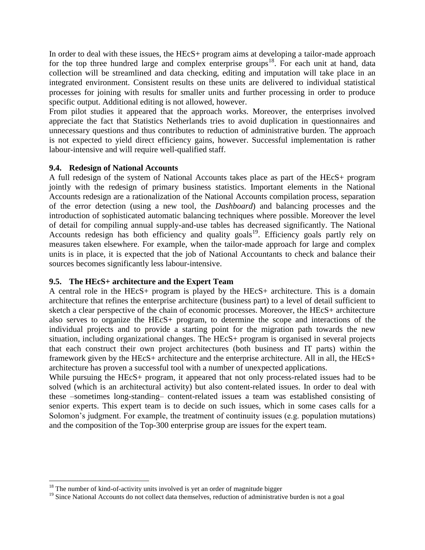In order to deal with these issues, the HEcS+ program aims at developing a tailor-made approach for the top three hundred large and complex enterprise groups<sup>18</sup>. For each unit at hand, data collection will be streamlined and data checking, editing and imputation will take place in an integrated environment. Consistent results on these units are delivered to individual statistical processes for joining with results for smaller units and further processing in order to produce specific output. Additional editing is not allowed, however.

From pilot studies it appeared that the approach works. Moreover, the enterprises involved appreciate the fact that Statistics Netherlands tries to avoid duplication in questionnaires and unnecessary questions and thus contributes to reduction of administrative burden. The approach is not expected to yield direct efficiency gains, however. Successful implementation is rather labour-intensive and will require well-qualified staff.

#### **9.4. Redesign of National Accounts**

A full redesign of the system of National Accounts takes place as part of the HEcS+ program jointly with the redesign of primary business statistics. Important elements in the National Accounts redesign are a rationalization of the National Accounts compilation process, separation of the error detection (using a new tool, the *Dashboard*) and balancing processes and the introduction of sophisticated automatic balancing techniques where possible. Moreover the level of detail for compiling annual supply-and-use tables has decreased significantly. The National Accounts redesign has both efficiency and quality goals<sup>19</sup>. Efficiency goals partly rely on measures taken elsewhere. For example, when the tailor-made approach for large and complex units is in place, it is expected that the job of National Accountants to check and balance their sources becomes significantly less labour-intensive.

#### **9.5. The HEcS+ architecture and the Expert Team**

A central role in the HEcS+ program is played by the HEcS+ architecture. This is a domain architecture that refines the enterprise architecture (business part) to a level of detail sufficient to sketch a clear perspective of the chain of economic processes. Moreover, the HEcS+ architecture also serves to organize the HEcS+ program, to determine the scope and interactions of the individual projects and to provide a starting point for the migration path towards the new situation, including organizational changes. The HEcS+ program is organised in several projects that each construct their own project architectures (both business and IT parts) within the framework given by the HEcS+ architecture and the enterprise architecture. All in all, the HEcS+ architecture has proven a successful tool with a number of unexpected applications.

While pursuing the HEcS+ program, it appeared that not only process-related issues had to be solved (which is an architectural activity) but also content-related issues. In order to deal with these –sometimes long-standing– content-related issues a team was established consisting of senior experts. This expert team is to decide on such issues, which in some cases calls for a Solomon's judgment. For example, the treatment of continuity issues (e.g. population mutations) and the composition of the Top-300 enterprise group are issues for the expert team.

 $\overline{a}$ 

 $18$  The number of kind-of-activity units involved is yet an order of magnitude bigger

<sup>&</sup>lt;sup>19</sup> Since National Accounts do not collect data themselves, reduction of administrative burden is not a goal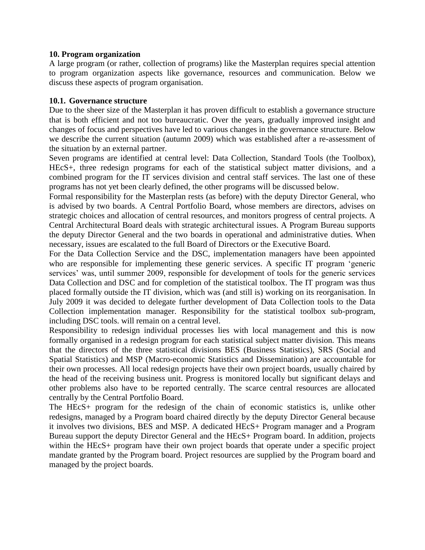#### **10. Program organization**

A large program (or rather, collection of programs) like the Masterplan requires special attention to program organization aspects like governance, resources and communication. Below we discuss these aspects of program organisation.

#### **10.1. Governance structure**

Due to the sheer size of the Masterplan it has proven difficult to establish a governance structure that is both efficient and not too bureaucratic. Over the years, gradually improved insight and changes of focus and perspectives have led to various changes in the governance structure. Below we describe the current situation (autumn 2009) which was established after a re-assessment of the situation by an external partner.

Seven programs are identified at central level: Data Collection, Standard Tools (the Toolbox), HEcS+, three redesign programs for each of the statistical subject matter divisions, and a combined program for the IT services division and central staff services. The last one of these programs has not yet been clearly defined, the other programs will be discussed below.

Formal responsibility for the Masterplan rests (as before) with the deputy Director General, who is advised by two boards. A Central Portfolio Board, whose members are directors, advises on strategic choices and allocation of central resources, and monitors progress of central projects. A Central Architectural Board deals with strategic architectural issues. A Program Bureau supports the deputy Director General and the two boards in operational and administrative duties. When necessary, issues are escalated to the full Board of Directors or the Executive Board.

For the Data Collection Service and the DSC, implementation managers have been appointed who are responsible for implementing these generic services. A specific IT program "generic services' was, until summer 2009, responsible for development of tools for the generic services Data Collection and DSC and for completion of the statistical toolbox. The IT program was thus placed formally outside the IT division, which was (and still is) working on its reorganisation. In July 2009 it was decided to delegate further development of Data Collection tools to the Data Collection implementation manager. Responsibility for the statistical toolbox sub-program, including DSC tools. will remain on a central level.

Responsibility to redesign individual processes lies with local management and this is now formally organised in a redesign program for each statistical subject matter division. This means that the directors of the three statistical divisions BES (Business Statistics), SRS (Social and Spatial Statistics) and MSP (Macro-economic Statistics and Dissemination) are accountable for their own processes. All local redesign projects have their own project boards, usually chaired by the head of the receiving business unit. Progress is monitored locally but significant delays and other problems also have to be reported centrally. The scarce central resources are allocated centrally by the Central Portfolio Board.

The HEcS+ program for the redesign of the chain of economic statistics is, unlike other redesigns, managed by a Program board chaired directly by the deputy Director General because it involves two divisions, BES and MSP. A dedicated HEcS+ Program manager and a Program Bureau support the deputy Director General and the HEcS+ Program board. In addition, projects within the HEcS+ program have their own project boards that operate under a specific project mandate granted by the Program board. Project resources are supplied by the Program board and managed by the project boards.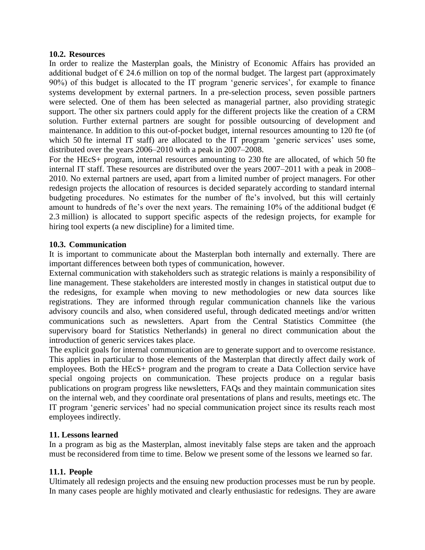#### **10.2. Resources**

In order to realize the Masterplan goals, the Ministry of Economic Affairs has provided an additional budget of  $\epsilon$  24.6 million on top of the normal budget. The largest part (approximately 90%) of this budget is allocated to the IT program "generic services", for example to finance systems development by external partners. In a pre-selection process, seven possible partners were selected. One of them has been selected as managerial partner, also providing strategic support. The other six partners could apply for the different projects like the creation of a CRM solution. Further external partners are sought for possible outsourcing of development and maintenance. In addition to this out-of-pocket budget, internal resources amounting to 120 fte (of which 50 fte internal IT staff) are allocated to the IT program 'generic services' uses some, distributed over the years 2006–2010 with a peak in 2007–2008.

For the HEcS+ program, internal resources amounting to 230 fte are allocated, of which 50 fte internal IT staff. These resources are distributed over the years 2007–2011 with a peak in 2008– 2010. No external partners are used, apart from a limited number of project managers. For other redesign projects the allocation of resources is decided separately according to standard internal budgeting procedures. No estimates for the number of fte's involved, but this will certainly amount to hundreds of fte's over the next years. The remaining 10% of the additional budget ( $\epsilon$ ) 2.3 million) is allocated to support specific aspects of the redesign projects, for example for hiring tool experts (a new discipline) for a limited time.

#### **10.3. Communication**

It is important to communicate about the Masterplan both internally and externally. There are important differences between both types of communication, however.

External communication with stakeholders such as strategic relations is mainly a responsibility of line management. These stakeholders are interested mostly in changes in statistical output due to the redesigns, for example when moving to new methodologies or new data sources like registrations. They are informed through regular communication channels like the various advisory councils and also, when considered useful, through dedicated meetings and/or written communications such as newsletters. Apart from the Central Statistics Committee (the supervisory board for Statistics Netherlands) in general no direct communication about the introduction of generic services takes place.

The explicit goals for internal communication are to generate support and to overcome resistance. This applies in particular to those elements of the Masterplan that directly affect daily work of employees. Both the HEcS+ program and the program to create a Data Collection service have special ongoing projects on communication. These projects produce on a regular basis publications on program progress like newsletters, FAQs and they maintain communication sites on the internal web, and they coordinate oral presentations of plans and results, meetings etc. The IT program "generic services" had no special communication project since its results reach most employees indirectly.

# **11. Lessons learned**

In a program as big as the Masterplan, almost inevitably false steps are taken and the approach must be reconsidered from time to time. Below we present some of the lessons we learned so far.

# **11.1. People**

Ultimately all redesign projects and the ensuing new production processes must be run by people. In many cases people are highly motivated and clearly enthusiastic for redesigns. They are aware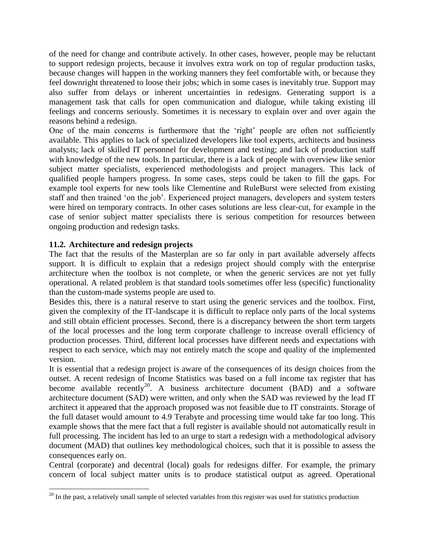of the need for change and contribute actively. In other cases, however, people may be reluctant to support redesign projects, because it involves extra work on top of regular production tasks, because changes will happen in the working manners they feel comfortable with, or because they feel downright threatened to loose their jobs; which in some cases is inevitably true. Support may also suffer from delays or inherent uncertainties in redesigns. Generating support is a management task that calls for open communication and dialogue, while taking existing ill feelings and concerns seriously. Sometimes it is necessary to explain over and over again the reasons behind a redesign.

One of the main concerns is furthermore that the 'right' people are often not sufficiently available. This applies to lack of specialized developers like tool experts, architects and business analysts; lack of skilled IT personnel for development and testing; and lack of production staff with knowledge of the new tools. In particular, there is a lack of people with overview like senior subject matter specialists, experienced methodologists and project managers. This lack of qualified people hampers progress. In some cases, steps could be taken to fill the gaps. For example tool experts for new tools like Clementine and RuleBurst were selected from existing staff and then trained "on the job". Experienced project managers, developers and system testers were hired on temporary contracts. In other cases solutions are less clear-cut, for example in the case of senior subject matter specialists there is serious competition for resources between ongoing production and redesign tasks.

# **11.2. Architecture and redesign projects**

The fact that the results of the Masterplan are so far only in part available adversely affects support. It is difficult to explain that a redesign project should comply with the enterprise architecture when the toolbox is not complete, or when the generic services are not yet fully operational. A related problem is that standard tools sometimes offer less (specific) functionality than the custom-made systems people are used to.

Besides this, there is a natural reserve to start using the generic services and the toolbox. First, given the complexity of the IT-landscape it is difficult to replace only parts of the local systems and still obtain efficient processes. Second, there is a discrepancy between the short term targets of the local processes and the long term corporate challenge to increase overall efficiency of production processes. Third, different local processes have different needs and expectations with respect to each service, which may not entirely match the scope and quality of the implemented version.

It is essential that a redesign project is aware of the consequences of its design choices from the outset. A recent redesign of Income Statistics was based on a full income tax register that has become available recently<sup>20</sup>. A business architecture document (BAD) and a software architecture document (SAD) were written, and only when the SAD was reviewed by the lead IT architect it appeared that the approach proposed was not feasible due to IT constraints. Storage of the full dataset would amount to 4.9 Terabyte and processing time would take far too long. This example shows that the mere fact that a full register is available should not automatically result in full processing. The incident has led to an urge to start a redesign with a methodological advisory document (MAD) that outlines key methodological choices, such that it is possible to assess the consequences early on.

Central (corporate) and decentral (local) goals for redesigns differ. For example, the primary concern of local subject matter units is to produce statistical output as agreed. Operational

 $\overline{a}$  $20$  In the past, a relatively small sample of selected variables from this register was used for statistics production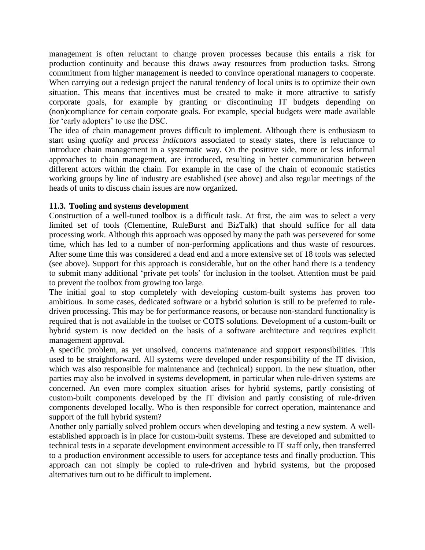management is often reluctant to change proven processes because this entails a risk for production continuity and because this draws away resources from production tasks. Strong commitment from higher management is needed to convince operational managers to cooperate. When carrying out a redesign project the natural tendency of local units is to optimize their own situation. This means that incentives must be created to make it more attractive to satisfy corporate goals, for example by granting or discontinuing IT budgets depending on (non)compliance for certain corporate goals. For example, special budgets were made available for 'early adopters' to use the DSC.

The idea of chain management proves difficult to implement. Although there is enthusiasm to start using *quality* and *process indicators* associated to steady states, there is reluctance to introduce chain management in a systematic way. On the positive side, more or less informal approaches to chain management, are introduced, resulting in better communication between different actors within the chain. For example in the case of the chain of economic statistics working groups by line of industry are established (see above) and also regular meetings of the heads of units to discuss chain issues are now organized.

#### **11.3. Tooling and systems development**

Construction of a well-tuned toolbox is a difficult task. At first, the aim was to select a very limited set of tools (Clementine, RuleBurst and BizTalk) that should suffice for all data processing work. Although this approach was opposed by many the path was persevered for some time, which has led to a number of non-performing applications and thus waste of resources. After some time this was considered a dead end and a more extensive set of 18 tools was selected (see above). Support for this approach is considerable, but on the other hand there is a tendency to submit many additional "private pet tools" for inclusion in the toolset. Attention must be paid to prevent the toolbox from growing too large.

The initial goal to stop completely with developing custom-built systems has proven too ambitious. In some cases, dedicated software or a hybrid solution is still to be preferred to ruledriven processing. This may be for performance reasons, or because non-standard functionality is required that is not available in the toolset or COTS solutions. Development of a custom-built or hybrid system is now decided on the basis of a software architecture and requires explicit management approval.

A specific problem, as yet unsolved, concerns maintenance and support responsibilities. This used to be straightforward. All systems were developed under responsibility of the IT division, which was also responsible for maintenance and (technical) support. In the new situation, other parties may also be involved in systems development, in particular when rule-driven systems are concerned. An even more complex situation arises for hybrid systems, partly consisting of custom-built components developed by the IT division and partly consisting of rule-driven components developed locally. Who is then responsible for correct operation, maintenance and support of the full hybrid system?

Another only partially solved problem occurs when developing and testing a new system. A wellestablished approach is in place for custom-built systems. These are developed and submitted to technical tests in a separate development environment accessible to IT staff only, then transferred to a production environment accessible to users for acceptance tests and finally production. This approach can not simply be copied to rule-driven and hybrid systems, but the proposed alternatives turn out to be difficult to implement.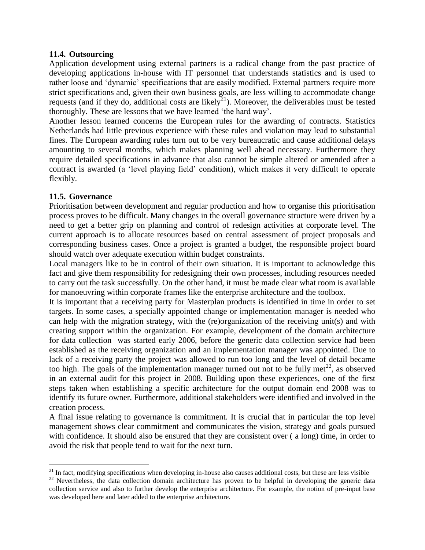#### **11.4. Outsourcing**

Application development using external partners is a radical change from the past practice of developing applications in-house with IT personnel that understands statistics and is used to rather loose and "dynamic" specifications that are easily modified. External partners require more strict specifications and, given their own business goals, are less willing to accommodate change requests (and if they do, additional costs are likely<sup>21</sup>). Moreover, the deliverables must be tested thoroughly. These are lessons that we have learned "the hard way".

Another lesson learned concerns the European rules for the awarding of contracts. Statistics Netherlands had little previous experience with these rules and violation may lead to substantial fines. The European awarding rules turn out to be very bureaucratic and cause additional delays amounting to several months, which makes planning well ahead necessary. Furthermore they require detailed specifications in advance that also cannot be simple altered or amended after a contract is awarded (a "level playing field" condition), which makes it very difficult to operate flexibly.

#### **11.5. Governance**

 $\overline{a}$ 

Prioritisation between development and regular production and how to organise this prioritisation process proves to be difficult. Many changes in the overall governance structure were driven by a need to get a better grip on planning and control of redesign activities at corporate level. The current approach is to allocate resources based on central assessment of project proposals and corresponding business cases. Once a project is granted a budget, the responsible project board should watch over adequate execution within budget constraints.

Local managers like to be in control of their own situation. It is important to acknowledge this fact and give them responsibility for redesigning their own processes, including resources needed to carry out the task successfully. On the other hand, it must be made clear what room is available for manoeuvring within corporate frames like the enterprise architecture and the toolbox.

It is important that a receiving party for Masterplan products is identified in time in order to set targets. In some cases, a specially appointed change or implementation manager is needed who can help with the migration strategy, with the (re)organization of the receiving unit(s) and with creating support within the organization. For example, development of the domain architecture for data collection was started early 2006, before the generic data collection service had been established as the receiving organization and an implementation manager was appointed. Due to lack of a receiving party the project was allowed to run too long and the level of detail became too high. The goals of the implementation manager turned out not to be fully met<sup>22</sup>, as observed in an external audit for this project in 2008. Building upon these experiences, one of the first steps taken when establishing a specific architecture for the output domain end 2008 was to identify its future owner. Furthermore, additional stakeholders were identified and involved in the creation process.

A final issue relating to governance is commitment. It is crucial that in particular the top level management shows clear commitment and communicates the vision, strategy and goals pursued with confidence. It should also be ensured that they are consistent over ( a long) time, in order to avoid the risk that people tend to wait for the next turn.

 $21$  In fact, modifying specifications when developing in-house also causes additional costs, but these are less visible

<sup>&</sup>lt;sup>22</sup> Nevertheless, the data collection domain architecture has proven to be helpful in developing the generic data collection service and also to further develop the enterprise architecture. For example, the notion of pre-input base was developed here and later added to the enterprise architecture.